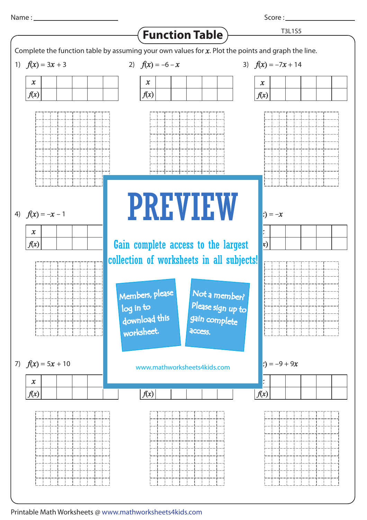Score : \_\_\_\_\_\_\_



Printable Math Worksheets @ www.mathworksheets4kids.com